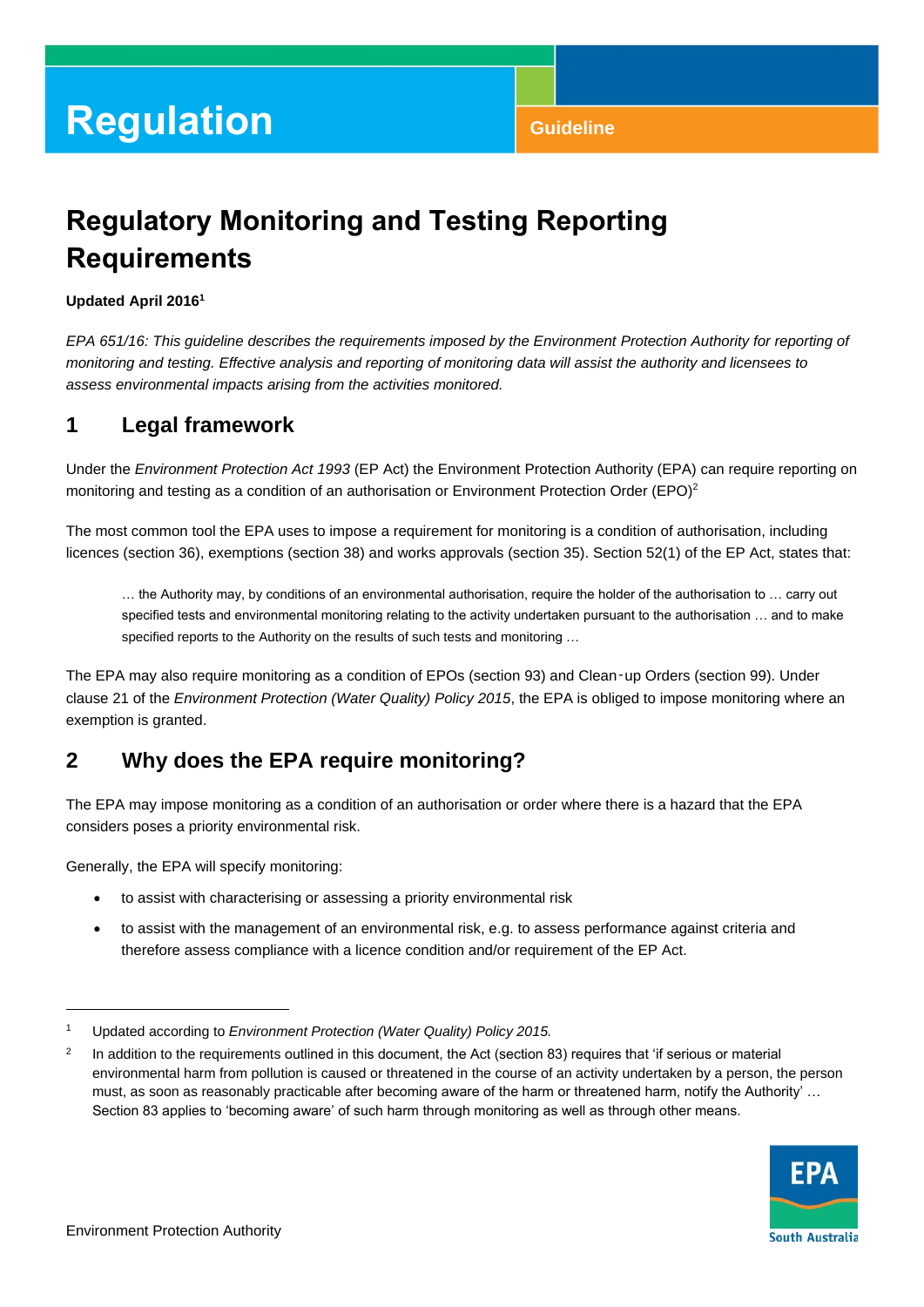## **Regulatory Monitoring and Testing Reporting Requirements**

#### **Updated April 2016 1**

*EPA 651/16: This guideline describes the requirements imposed by the Environment Protection Authority for reporting of monitoring and testing. Effective analysis and reporting of monitoring data will assist the authority and licensees to assess environmental impacts arising from the activities monitored.*

### **1 Legal framework**

Under the *Environment Protection Act 1993* (EP Act) the Environment Protection Authority (EPA) can require reporting on monitoring and testing as a condition of an authorisation or Environment Protection Order (EPO)<sup>2</sup>

The most common tool the EPA uses to impose a requirement for monitoring is a condition of authorisation, including licences (section 36), exemptions (section 38) and works approvals (section 35). Section 52(1) of the EP Act, states that:

… the Authority may, by conditions of an environmental authorisation, require the holder of the authorisation to … carry out specified tests and environmental monitoring relating to the activity undertaken pursuant to the authorisation ... and to make specified reports to the Authority on the results of such tests and monitoring …

The EPA may also require monitoring as a condition of EPOs (section 93) and Clean‑up Orders (section 99). Under clause 21 of the *Environment Protection (Water Quality) Policy 2015*, the EPA is obliged to impose monitoring where an exemption is granted.

### **2 Why does the EPA require monitoring?**

The EPA may impose monitoring as a condition of an authorisation or order where there is a hazard that the EPA considers poses a priority environmental risk.

Generally, the EPA will specify monitoring:

- to assist with characterising or assessing a priority environmental risk
- to assist with the management of an environmental risk, e.g. to assess performance against criteria and therefore assess compliance with a licence condition and/or requirement of the EP Act.

 $\overline{2}$ In addition to the requirements outlined in this document, the Act (section 83) requires that 'if serious or material environmental harm from pollution is caused or threatened in the course of an activity undertaken by a person, the person must, as soon as reasonably practicable after becoming aware of the harm or threatened harm, notify the Authority' … Section 83 applies to 'becoming aware' of such harm through monitoring as well as through other means.



l

<sup>1</sup> Updated according to *Environment Protection (Water Quality) Policy 2015.*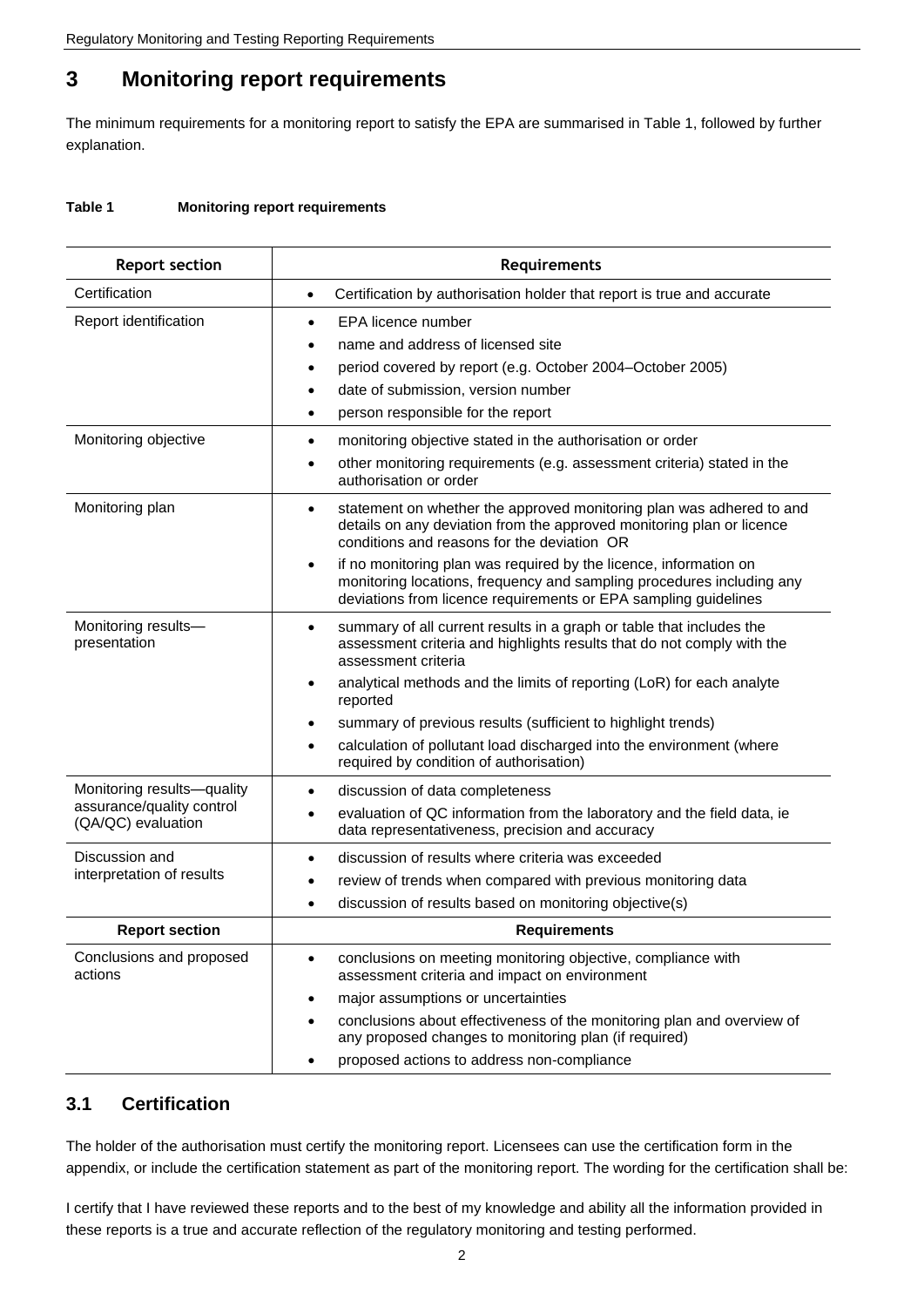### **3 Monitoring report requirements**

The minimum requirements for a monitoring report to satisfy the EPA are summarised in Table 1, followed by further explanation.

#### **Table 1 Monitoring report requirements**

| <b>Report section</b>                           | Requirements                                                                                                                                                                                                               |  |
|-------------------------------------------------|----------------------------------------------------------------------------------------------------------------------------------------------------------------------------------------------------------------------------|--|
| Certification                                   | Certification by authorisation holder that report is true and accurate<br>$\bullet$                                                                                                                                        |  |
| Report identification                           | EPA licence number<br>$\bullet$                                                                                                                                                                                            |  |
|                                                 | name and address of licensed site<br>٠                                                                                                                                                                                     |  |
|                                                 | period covered by report (e.g. October 2004–October 2005)<br>٠                                                                                                                                                             |  |
|                                                 | date of submission, version number<br>$\bullet$                                                                                                                                                                            |  |
|                                                 | person responsible for the report<br>٠                                                                                                                                                                                     |  |
| Monitoring objective                            | monitoring objective stated in the authorisation or order<br>$\bullet$                                                                                                                                                     |  |
|                                                 | other monitoring requirements (e.g. assessment criteria) stated in the<br>$\bullet$<br>authorisation or order                                                                                                              |  |
| Monitoring plan                                 | statement on whether the approved monitoring plan was adhered to and<br>$\bullet$<br>details on any deviation from the approved monitoring plan or licence<br>conditions and reasons for the deviation OR                  |  |
|                                                 | if no monitoring plan was required by the licence, information on<br>$\bullet$<br>monitoring locations, frequency and sampling procedures including any<br>deviations from licence requirements or EPA sampling guidelines |  |
| Monitoring results-<br>presentation             | summary of all current results in a graph or table that includes the<br>$\bullet$<br>assessment criteria and highlights results that do not comply with the<br>assessment criteria                                         |  |
|                                                 | analytical methods and the limits of reporting (LoR) for each analyte<br>٠<br>reported                                                                                                                                     |  |
|                                                 | summary of previous results (sufficient to highlight trends)<br>٠                                                                                                                                                          |  |
|                                                 | calculation of pollutant load discharged into the environment (where<br>$\bullet$<br>required by condition of authorisation)                                                                                               |  |
| Monitoring results-quality                      | discussion of data completeness<br>$\bullet$                                                                                                                                                                               |  |
| assurance/quality control<br>(QA/QC) evaluation | evaluation of QC information from the laboratory and the field data, ie<br>data representativeness, precision and accuracy                                                                                                 |  |
| Discussion and<br>interpretation of results     | discussion of results where criteria was exceeded<br>$\bullet$                                                                                                                                                             |  |
|                                                 | review of trends when compared with previous monitoring data<br>٠                                                                                                                                                          |  |
|                                                 | discussion of results based on monitoring objective(s)<br>$\bullet$                                                                                                                                                        |  |
| <b>Report section</b>                           | <b>Requirements</b>                                                                                                                                                                                                        |  |
| Conclusions and proposed<br>actions             | conclusions on meeting monitoring objective, compliance with<br>$\bullet$<br>assessment criteria and impact on environment                                                                                                 |  |
|                                                 | major assumptions or uncertainties                                                                                                                                                                                         |  |
|                                                 | conclusions about effectiveness of the monitoring plan and overview of<br>any proposed changes to monitoring plan (if required)                                                                                            |  |
|                                                 | proposed actions to address non-compliance                                                                                                                                                                                 |  |

#### **3.1 Certification**

The holder of the authorisation must certify the monitoring report. Licensees can use the certification form in the appendix, or include the certification statement as part of the monitoring report. The wording for the certification shall be:

I certify that I have reviewed these reports and to the best of my knowledge and ability all the information provided in these reports is a true and accurate reflection of the regulatory monitoring and testing performed.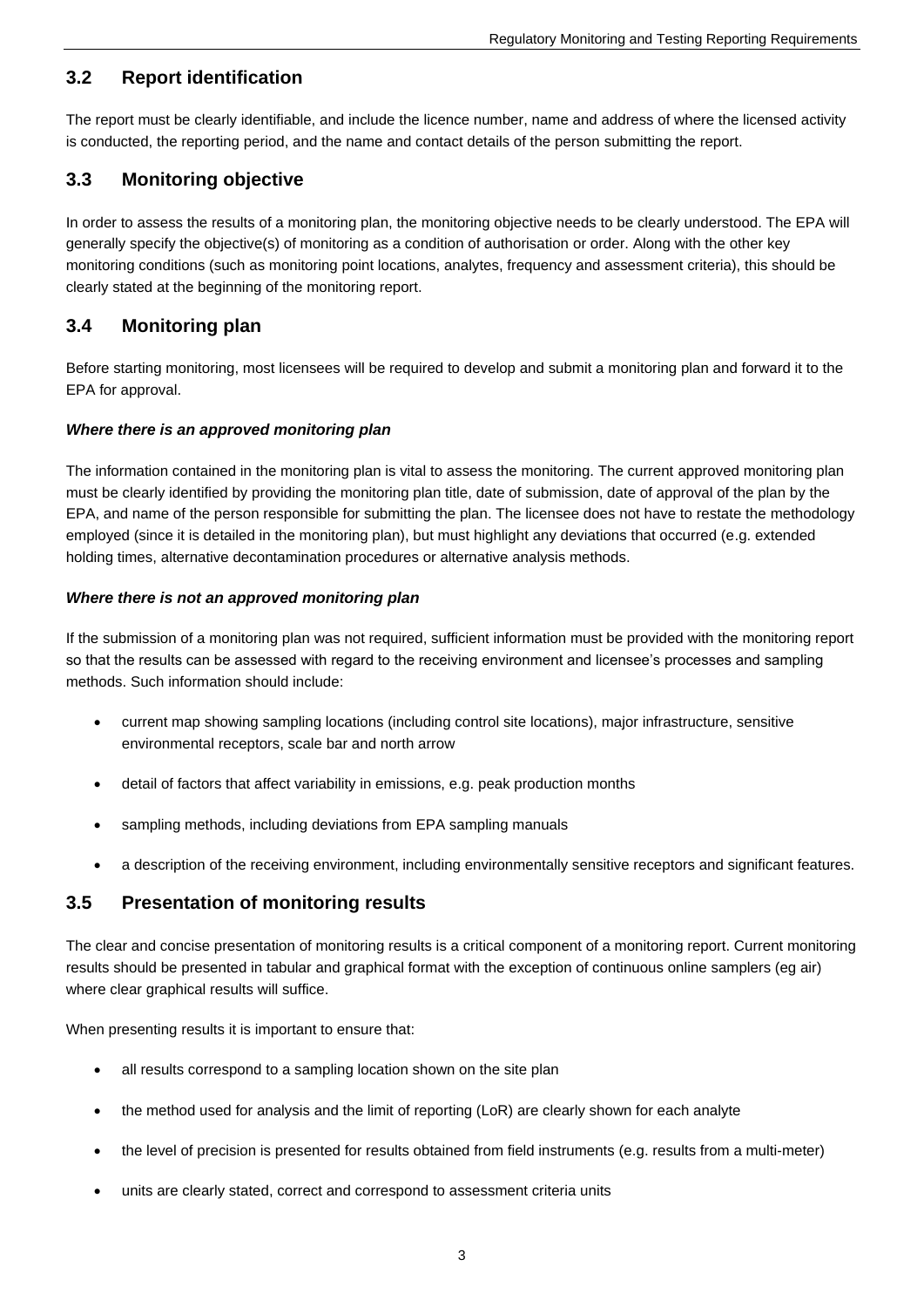#### **3.2 Report identification**

The report must be clearly identifiable, and include the licence number, name and address of where the licensed activity is conducted, the reporting period, and the name and contact details of the person submitting the report.

#### **3.3 Monitoring objective**

In order to assess the results of a monitoring plan, the monitoring objective needs to be clearly understood. The EPA will generally specify the objective(s) of monitoring as a condition of authorisation or order. Along with the other key monitoring conditions (such as monitoring point locations, analytes, frequency and assessment criteria), this should be clearly stated at the beginning of the monitoring report.

#### **3.4 Monitoring plan**

Before starting monitoring, most licensees will be required to develop and submit a monitoring plan and forward it to the EPA for approval.

#### *Where there is an approved monitoring plan*

The information contained in the monitoring plan is vital to assess the monitoring. The current approved monitoring plan must be clearly identified by providing the monitoring plan title, date of submission, date of approval of the plan by the EPA, and name of the person responsible for submitting the plan. The licensee does not have to restate the methodology employed (since it is detailed in the monitoring plan), but must highlight any deviations that occurred (e.g. extended holding times, alternative decontamination procedures or alternative analysis methods.

#### *Where there is not an approved monitoring plan*

If the submission of a monitoring plan was not required, sufficient information must be provided with the monitoring report so that the results can be assessed with regard to the receiving environment and licensee's processes and sampling methods. Such information should include:

- current map showing sampling locations (including control site locations), major infrastructure, sensitive environmental receptors, scale bar and north arrow
- detail of factors that affect variability in emissions, e.g. peak production months
- sampling methods, including deviations from EPA sampling manuals
- a description of the receiving environment, including environmentally sensitive receptors and significant features.

#### **3.5 Presentation of monitoring results**

The clear and concise presentation of monitoring results is a critical component of a monitoring report. Current monitoring results should be presented in tabular and graphical format with the exception of continuous online samplers (eg air) where clear graphical results will suffice.

When presenting results it is important to ensure that:

- all results correspond to a sampling location shown on the site plan
- the method used for analysis and the limit of reporting (LoR) are clearly shown for each analyte
- the level of precision is presented for results obtained from field instruments (e.g. results from a multi-meter)
- units are clearly stated, correct and correspond to assessment criteria units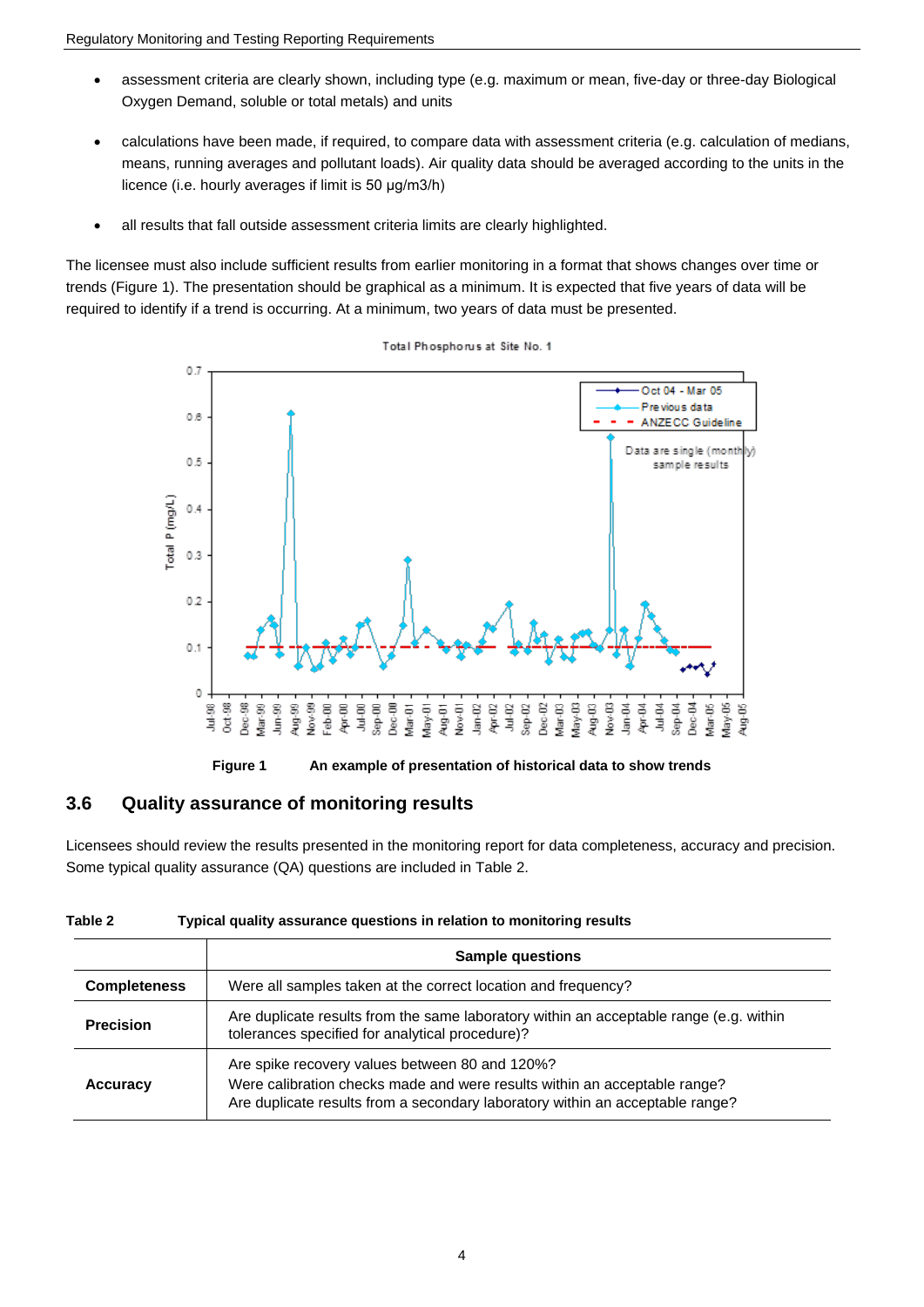- assessment criteria are clearly shown, including type (e.g. maximum or mean, five-day or three-day Biological Oxygen Demand, soluble or total metals) and units
- calculations have been made, if required, to compare data with assessment criteria (e.g. calculation of medians, means, running averages and pollutant loads). Air quality data should be averaged according to the units in the licence (i.e. hourly averages if limit is 50 μg/m3/h)
- all results that fall outside assessment criteria limits are clearly highlighted.

The licensee must also include sufficient results from earlier monitoring in a format that shows changes over time or trends (Figure 1). The presentation should be graphical as a minimum. It is expected that five years of data will be required to identify if a trend is occurring. At a minimum, two years of data must be presented.



Total Phosphorus at Site No. 1

**Figure 1 An example of presentation of historical data to show trends**

#### **3.6 Quality assurance of monitoring results**

Licensees should review the results presented in the monitoring report for data completeness, accuracy and precision. Some typical quality assurance (QA) questions are included in Table 2.

| Table 2 | Typical quality assurance questions in relation to monitoring results |  |
|---------|-----------------------------------------------------------------------|--|
|         |                                                                       |  |

|                     | <b>Sample questions</b>                                                                                                                                                                                      |
|---------------------|--------------------------------------------------------------------------------------------------------------------------------------------------------------------------------------------------------------|
| <b>Completeness</b> | Were all samples taken at the correct location and frequency?                                                                                                                                                |
| <b>Precision</b>    | Are duplicate results from the same laboratory within an acceptable range (e.g. within<br>tolerances specified for analytical procedure)?                                                                    |
| Accuracy            | Are spike recovery values between 80 and 120%?<br>Were calibration checks made and were results within an acceptable range?<br>Are duplicate results from a secondary laboratory within an acceptable range? |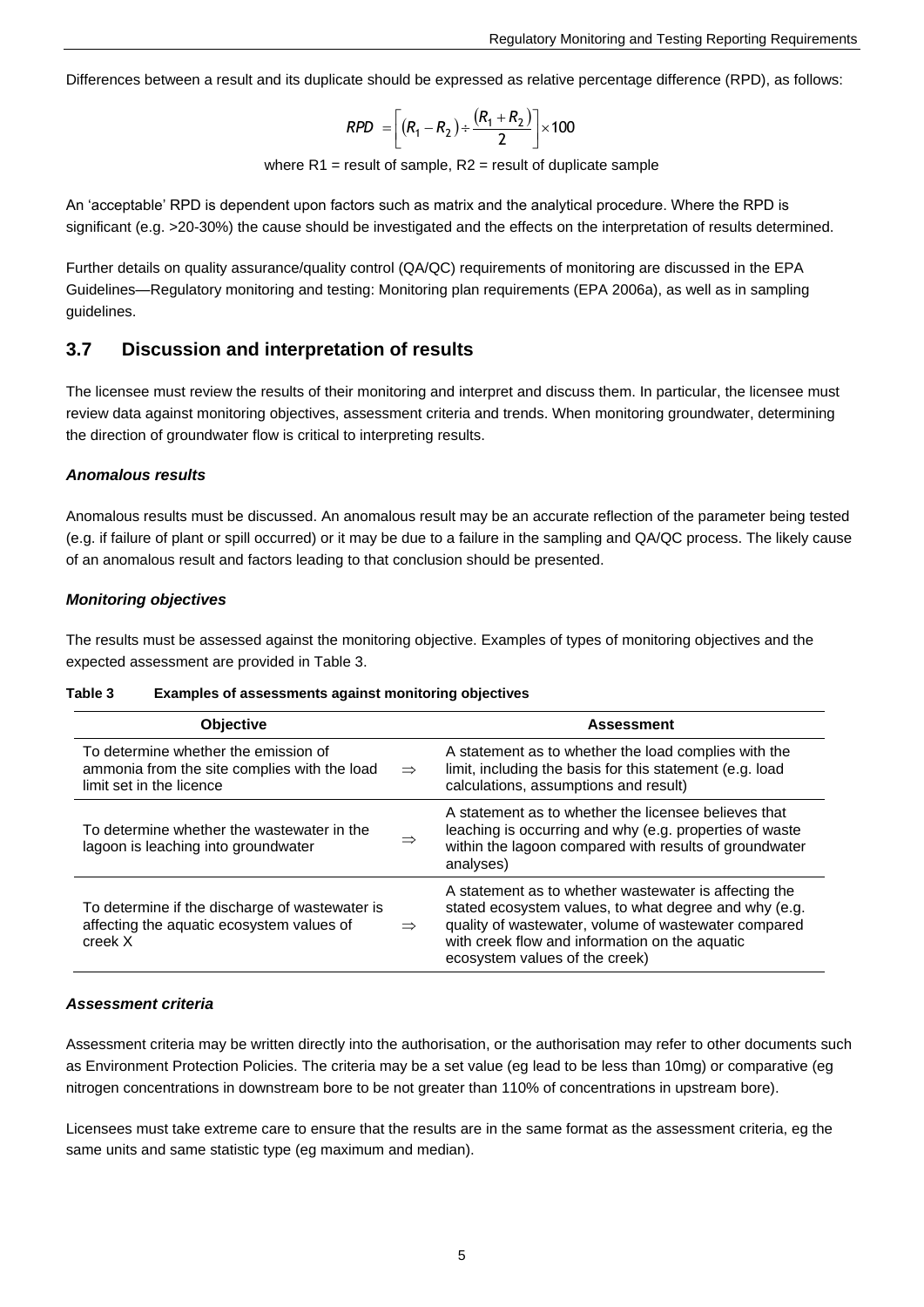Differences between a result and its duplicate should be expressed as relative percentage difference (RPD), as follows:

$$
RPD = \left[ (R_1 - R_2) \div \frac{(R_1 + R_2)}{2} \right] \times 100
$$

where  $R1$  = result of sample,  $R2$  = result of duplicate sample

An 'acceptable' RPD is dependent upon factors such as matrix and the analytical procedure. Where the RPD is significant (e.g. >20-30%) the cause should be investigated and the effects on the interpretation of results determined.

Further details on quality assurance/quality control (QA/QC) requirements of monitoring are discussed in the EPA Guidelines—Regulatory monitoring and testing: Monitoring plan requirements (EPA 2006a), as well as in sampling guidelines.

#### **3.7 Discussion and interpretation of results**

The licensee must review the results of their monitoring and interpret and discuss them. In particular, the licensee must review data against monitoring objectives, assessment criteria and trends. When monitoring groundwater, determining the direction of groundwater flow is critical to interpreting results.

#### *Anomalous results*

Anomalous results must be discussed. An anomalous result may be an accurate reflection of the parameter being tested (e.g. if failure of plant or spill occurred) or it may be due to a failure in the sampling and QA/QC process. The likely cause of an anomalous result and factors leading to that conclusion should be presented.

#### *Monitoring objectives*

The results must be assessed against the monitoring objective. Examples of types of monitoring objectives and the expected assessment are provided in Table 3.

| <b>Table 3</b> |  |  | <b>Examples of assessments against monitoring objectives</b> |
|----------------|--|--|--------------------------------------------------------------|
|----------------|--|--|--------------------------------------------------------------|

| <b>Objective</b>                                                                                                 |               | <b>Assessment</b>                                                                                                                                                                                                                                          |
|------------------------------------------------------------------------------------------------------------------|---------------|------------------------------------------------------------------------------------------------------------------------------------------------------------------------------------------------------------------------------------------------------------|
| To determine whether the emission of<br>ammonia from the site complies with the load<br>limit set in the licence | $\Rightarrow$ | A statement as to whether the load complies with the<br>limit, including the basis for this statement (e.g. load<br>calculations, assumptions and result)                                                                                                  |
| To determine whether the wastewater in the<br>lagoon is leaching into groundwater                                | $\Rightarrow$ | A statement as to whether the licensee believes that<br>leaching is occurring and why (e.g. properties of waste<br>within the lagoon compared with results of groundwater<br>analyses)                                                                     |
| To determine if the discharge of wastewater is<br>affecting the aquatic ecosystem values of<br>creek X           | $\Rightarrow$ | A statement as to whether wastewater is affecting the<br>stated ecosystem values, to what degree and why (e.g.<br>quality of wastewater, volume of wastewater compared<br>with creek flow and information on the aquatic<br>ecosystem values of the creek) |

#### *Assessment criteria*

Assessment criteria may be written directly into the authorisation, or the authorisation may refer to other documents such as Environment Protection Policies. The criteria may be a set value (eg lead to be less than 10mg) or comparative (eg nitrogen concentrations in downstream bore to be not greater than 110% of concentrations in upstream bore).

Licensees must take extreme care to ensure that the results are in the same format as the assessment criteria, eg the same units and same statistic type (eg maximum and median).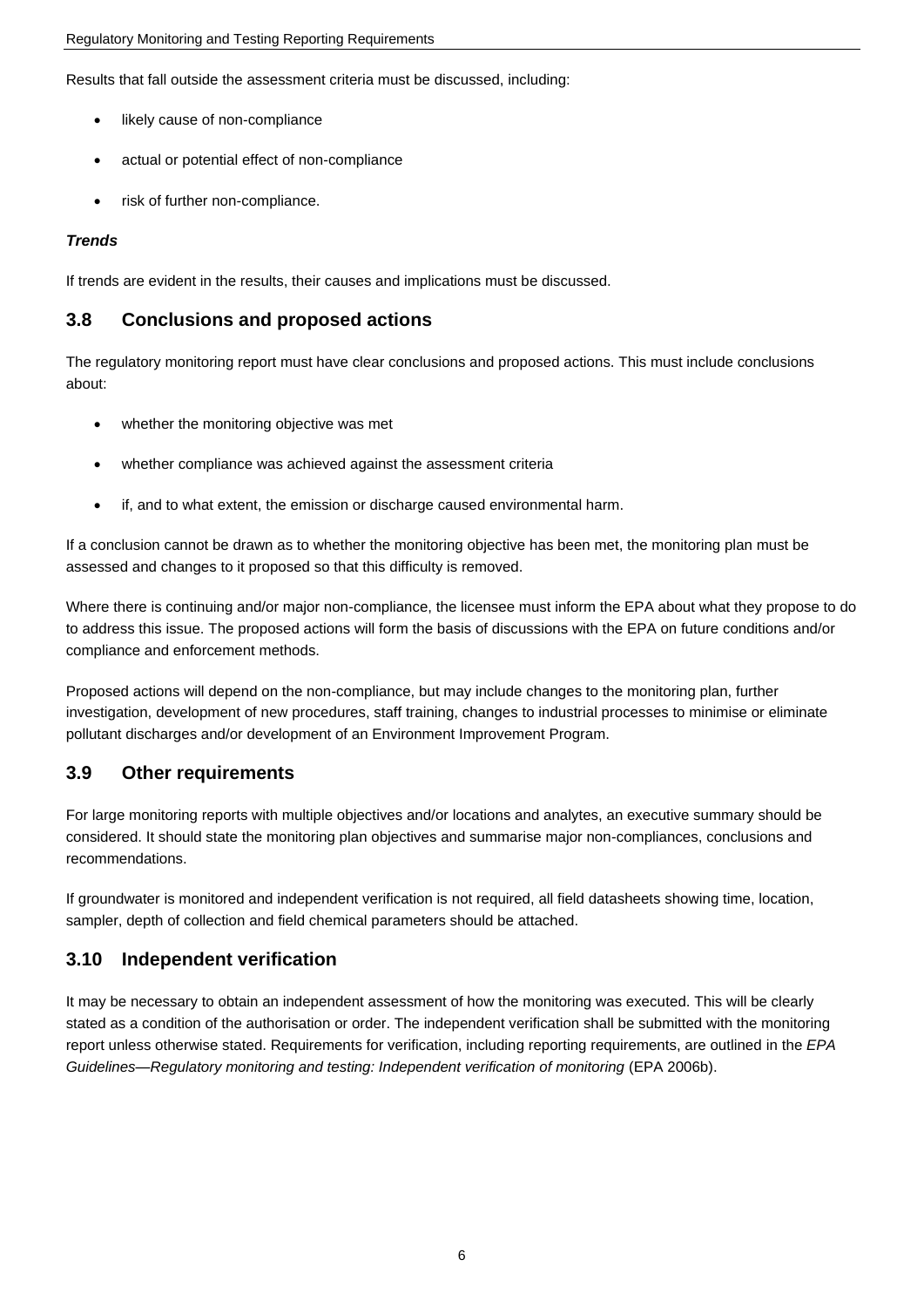Results that fall outside the assessment criteria must be discussed, including:

- likely cause of non-compliance
- actual or potential effect of non-compliance
- risk of further non-compliance.

#### *Trends*

If trends are evident in the results, their causes and implications must be discussed.

#### **3.8 Conclusions and proposed actions**

The regulatory monitoring report must have clear conclusions and proposed actions. This must include conclusions about:

- whether the monitoring objective was met
- whether compliance was achieved against the assessment criteria
- if, and to what extent, the emission or discharge caused environmental harm.

If a conclusion cannot be drawn as to whether the monitoring objective has been met, the monitoring plan must be assessed and changes to it proposed so that this difficulty is removed.

Where there is continuing and/or major non-compliance, the licensee must inform the EPA about what they propose to do to address this issue. The proposed actions will form the basis of discussions with the EPA on future conditions and/or compliance and enforcement methods.

Proposed actions will depend on the non-compliance, but may include changes to the monitoring plan, further investigation, development of new procedures, staff training, changes to industrial processes to minimise or eliminate pollutant discharges and/or development of an Environment Improvement Program.

#### **3.9 Other requirements**

For large monitoring reports with multiple objectives and/or locations and analytes, an executive summary should be considered. It should state the monitoring plan objectives and summarise major non-compliances, conclusions and recommendations.

If groundwater is monitored and independent verification is not required, all field datasheets showing time, location, sampler, depth of collection and field chemical parameters should be attached.

#### **3.10 Independent verification**

It may be necessary to obtain an independent assessment of how the monitoring was executed. This will be clearly stated as a condition of the authorisation or order. The independent verification shall be submitted with the monitoring report unless otherwise stated. Requirements for verification, including reporting requirements, are outlined in the *EPA*  Guidelines—Regulatory monitoring and testing: Independent verification of monitoring (EPA 2006b).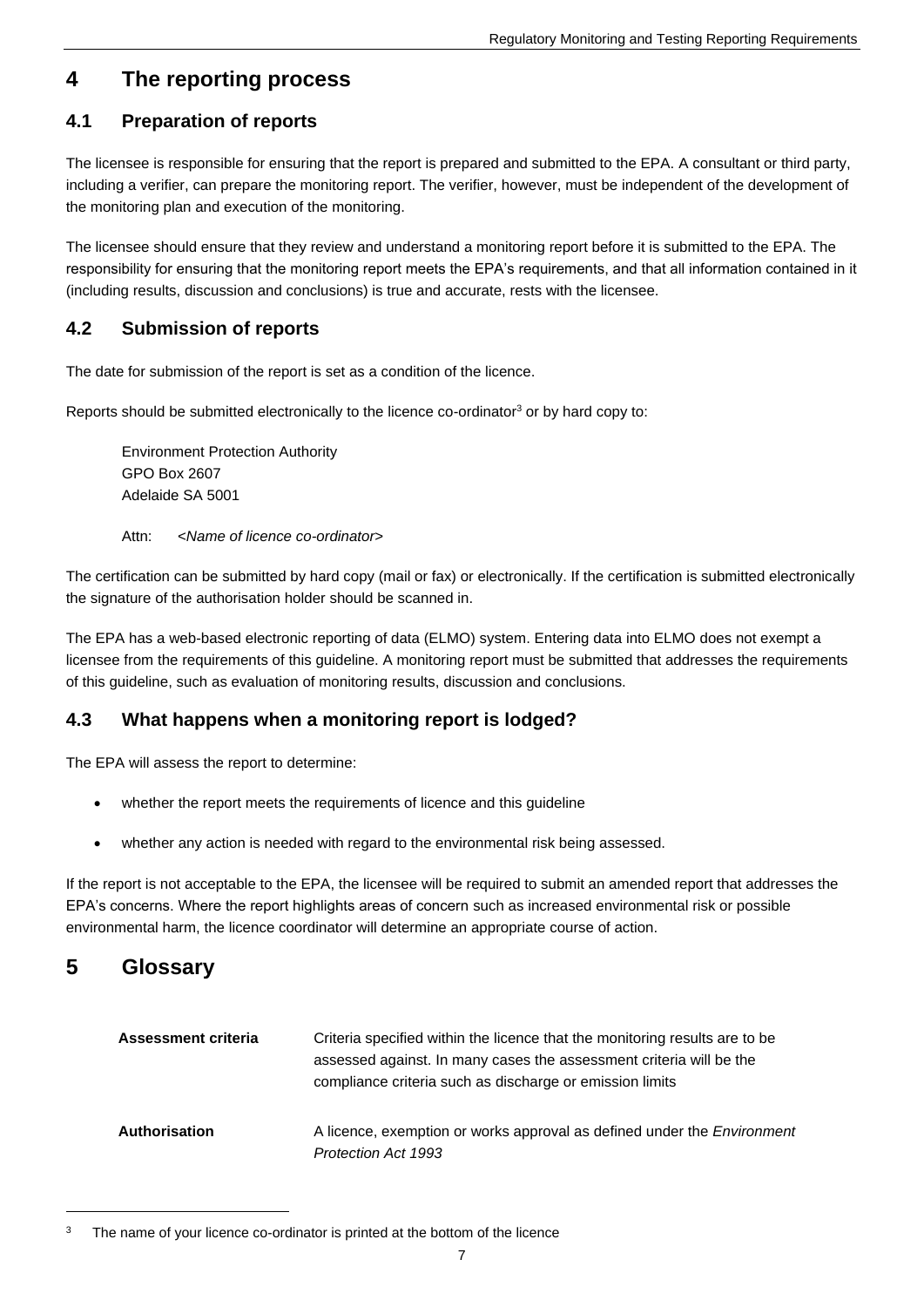### **4 The reporting process**

### **4.1 Preparation of reports**

The licensee is responsible for ensuring that the report is prepared and submitted to the EPA. A consultant or third party, including a verifier, can prepare the monitoring report. The verifier, however, must be independent of the development of the monitoring plan and execution of the monitoring.

The licensee should ensure that they review and understand a monitoring report before it is submitted to the EPA. The responsibility for ensuring that the monitoring report meets the EPA's requirements, and that all information contained in it (including results, discussion and conclusions) is true and accurate, rests with the licensee.

#### **4.2 Submission of reports**

The date for submission of the report is set as a condition of the licence.

Reports should be submitted electronically to the licence co-ordinator<sup>3</sup> or by hard copy to:

Environment Protection Authority GPO Box 2607 Adelaide SA 5001

Attn: <*Name of licence co-ordinator*>

The certification can be submitted by hard copy (mail or fax) or electronically. If the certification is submitted electronically the signature of the authorisation holder should be scanned in.

The EPA has a web-based electronic reporting of data (ELMO) system. Entering data into ELMO does not exempt a licensee from the requirements of this guideline. A monitoring report must be submitted that addresses the requirements of this guideline, such as evaluation of monitoring results, discussion and conclusions.

#### **4.3 What happens when a monitoring report is lodged?**

The EPA will assess the report to determine:

- whether the report meets the requirements of licence and this guideline
- whether any action is needed with regard to the environmental risk being assessed.

If the report is not acceptable to the EPA, the licensee will be required to submit an amended report that addresses the EPA's concerns. Where the report highlights areas of concern such as increased environmental risk or possible environmental harm, the licence coordinator will determine an appropriate course of action.

### **5 Glossary**

 $\overline{a}$ 

| Assessment criteria  | Criteria specified within the licence that the monitoring results are to be<br>assessed against. In many cases the assessment criteria will be the<br>compliance criteria such as discharge or emission limits |
|----------------------|----------------------------------------------------------------------------------------------------------------------------------------------------------------------------------------------------------------|
| <b>Authorisation</b> | A licence, exemption or works approval as defined under the <i>Environment</i><br><b>Protection Act 1993</b>                                                                                                   |

<sup>&</sup>lt;sup>3</sup> The name of your licence co-ordinator is printed at the bottom of the licence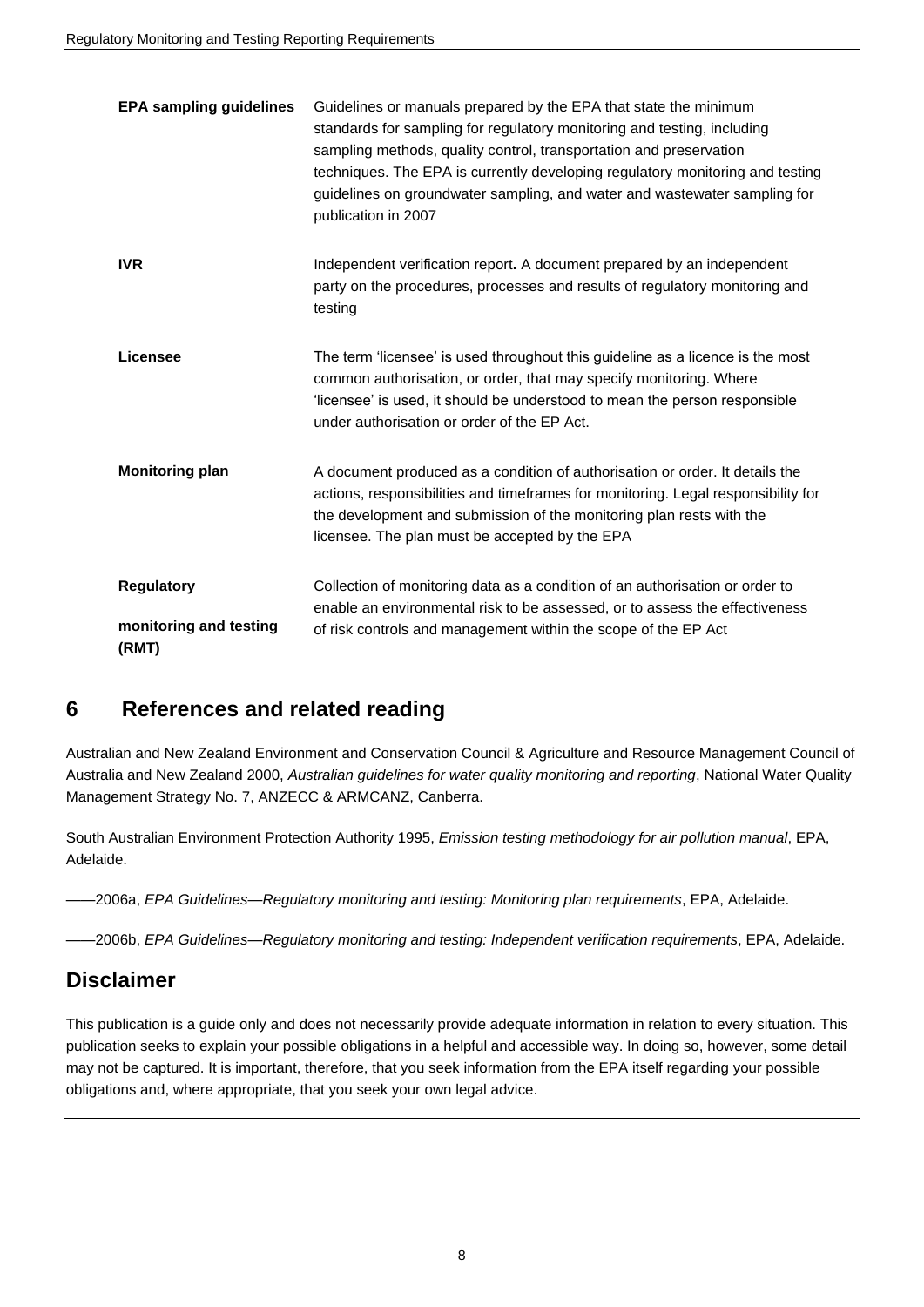| <b>EPA sampling guidelines</b>                       | Guidelines or manuals prepared by the EPA that state the minimum<br>standards for sampling for regulatory monitoring and testing, including<br>sampling methods, quality control, transportation and preservation<br>techniques. The EPA is currently developing regulatory monitoring and testing<br>guidelines on groundwater sampling, and water and wastewater sampling for<br>publication in 2007 |
|------------------------------------------------------|--------------------------------------------------------------------------------------------------------------------------------------------------------------------------------------------------------------------------------------------------------------------------------------------------------------------------------------------------------------------------------------------------------|
| <b>IVR</b>                                           | Independent verification report. A document prepared by an independent<br>party on the procedures, processes and results of regulatory monitoring and<br>testing                                                                                                                                                                                                                                       |
| Licensee                                             | The term 'licensee' is used throughout this guideline as a licence is the most<br>common authorisation, or order, that may specify monitoring. Where<br>'licensee' is used, it should be understood to mean the person responsible<br>under authorisation or order of the EP Act.                                                                                                                      |
| <b>Monitoring plan</b>                               | A document produced as a condition of authorisation or order. It details the<br>actions, responsibilities and timeframes for monitoring. Legal responsibility for<br>the development and submission of the monitoring plan rests with the<br>licensee. The plan must be accepted by the EPA                                                                                                            |
| <b>Regulatory</b><br>monitoring and testing<br>(RMT) | Collection of monitoring data as a condition of an authorisation or order to<br>enable an environmental risk to be assessed, or to assess the effectiveness<br>of risk controls and management within the scope of the EP Act                                                                                                                                                                          |

### **6 References and related reading**

Australian and New Zealand Environment and Conservation Council & Agriculture and Resource Management Council of Australia and New Zealand 2000, *Australian guidelines for water quality monitoring and reporting*, National Water Quality Management Strategy No. 7, ANZECC & ARMCANZ, Canberra.

South Australian Environment Protection Authority 1995, *Emission testing methodology for air pollution manual*, EPA, Adelaide.

——2006a, *EPA Guidelines—Regulatory monitoring and testing: Monitoring plan requirements*, EPA, Adelaide.

——2006b, *EPA Guidelines—Regulatory monitoring and testing: Independent verification requirements*, EPA, Adelaide.

### **Disclaimer**

This publication is a guide only and does not necessarily provide adequate information in relation to every situation. This publication seeks to explain your possible obligations in a helpful and accessible way. In doing so, however, some detail may not be captured. It is important, therefore, that you seek information from the EPA itself regarding your possible obligations and, where appropriate, that you seek your own legal advice.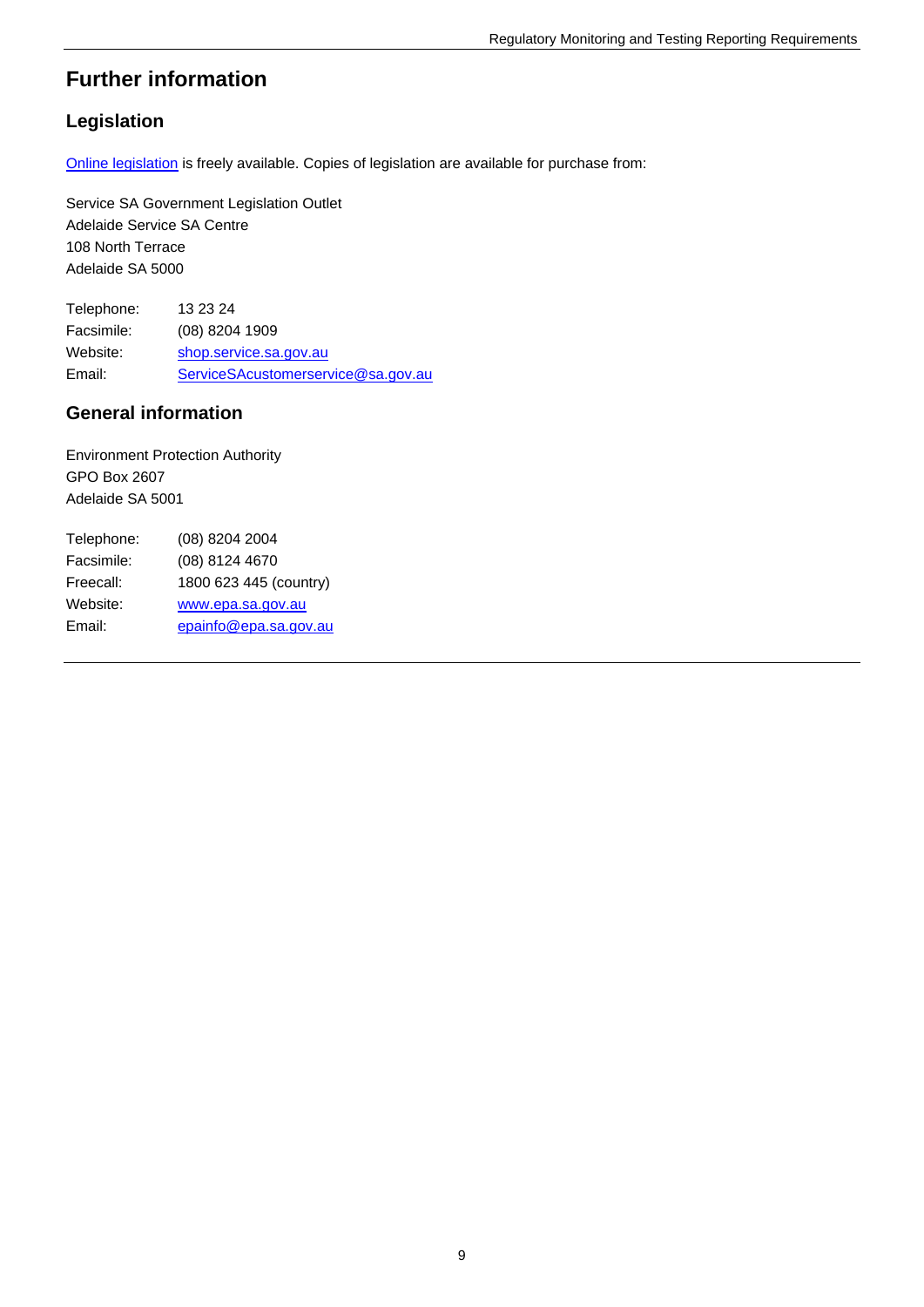### **Further information**

### **Legislation**

[Online legislation](http://www.legislation.sa.gov.au/) is freely available. Copies of legislation are available for purchase from:

Service SA Government Legislation Outlet Adelaide Service SA Centre 108 North Terrace Adelaide SA 5000

Telephone: 13 23 24 Facsimile: (08) 8204 1909 Website: [shop.service.sa.gov.au](http://shop.service.sa.gov.au/) Email: [ServiceSAcustomerservice@sa.gov.au](mailto:ServiceSAcustomerservice@sa.gov.au)

#### **General information**

Environment Protection Authority GPO Box 2607 Adelaide SA 5001

| Telephone: | (08) 8204 2004         |
|------------|------------------------|
| Facsimile: | (08) 8124 4670         |
| Freecall:  | 1800 623 445 (country) |
| Website:   | www.epa.sa.gov.au      |
| Email:     | epainfo@epa.sa.gov.au  |